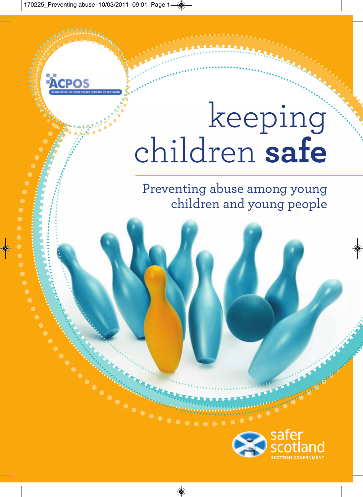# keeping children **safe**

Preventing abuse among young children and young people

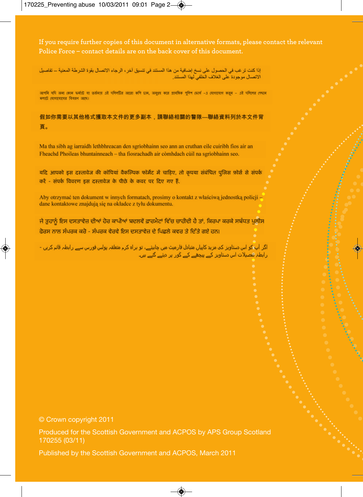**If you require further copies of this document in alternative formats, please contact the relevant Police Force – contact details are on the back cover of this document.**

إذا كنت تر غب في الحصول على نسخ إضافية من هذا المستند في تنسيق آخر ، الرجاء الاتصال بقوة الشرطة المعنية – تفاصيل الاتصال موجودة على الغلاف الخلفي لهذا المستند.

আগনি যদি অন্য কোন ফৰ্মাট বা ভৰ্তমায় এই দশিপটির আরো কপি চান, অনুয়হ করে প্রাসঙ্গিক পুলিশ ফোর্ণ -এ যোগাযোগ কর্ম - এই দশিলের পেছনে মলাট যোগাযোগের বিবরণ আছে।

假如你需要以其他格式獲取本文件的更多副本,請聯絡相關的警隊—聯絡資料列於本文件背 頁。

Ma tha sibh ag iarraidh lethbhreacan den sgrìobhainn seo ann an cruthan eile cuiribh fios air an Fheachd Phoileas bhuntainneach - tha fiosrachadh air còmhdach cùil na sgrìobhainn seo.

यदि आपको इस दस्तावेज की काँपियां वैकल्पिक फॉर्मेट में चाहिए, तो कृपया संबंधित पुलिस फ़ोर्स से संपर्क करें - संपर्क विवरण इस दस्तावेज के पीछे के कवर पर दिए गए हैं.

Aby otrzymać ten dokument w innych formatach, prosimy o kontakt z właściwa jednostka policii – dane kontaktowe znajduja się na okładce z tyłu dokumentu.

ਜੇ ਤਹਾਨੰ ਇਸ ਦਸਤਾਵੇਜ਼ ਦੀਆਂ ਹੋਰ ਕਾਪੀਆਂ ਬਦਲਵੇਂ ਫ਼ਾਰਮੈਟਾਂ ਵਿੱਚ ਚਾਹੀਦੀ ਹੈ ਤਾਂ, ਕਿਰਪਾ ਕਰਕੇ ਸਬੰਧਤ ਪਲੀਸ ਫੋਰਸ ਨਾਲ ਸੰਪਰਕ ਕਰੋ - ਸੰਪਰਕ ਵੇਰਵੇ ਇਸ ਦਸਤਾਵੇਜ਼ ਦੇ ਪਿਛਲੇ ਕਵਰ ਤੇ ਦਿੱਤੇ ਗਏ ਹਨ।

اگر آپ کو اس دستاویز کو مزید کاپیاں متبادل فارمیٹ میں چاہیئے، تو ہر اہ کرم متعلقہ پولس فورس سے رابطہ قائم کریں ۔ رابطۂ تفصیلات اس دستاویز کے پیچھے کے گور پر دیئے گئے ہیں۔

© Crown copyright 2011

Produced for the Scottish Government and ACPOS by APS Group Scotland 170255 (03/11)

Published by the Scottish Government and ACPOS, March 2011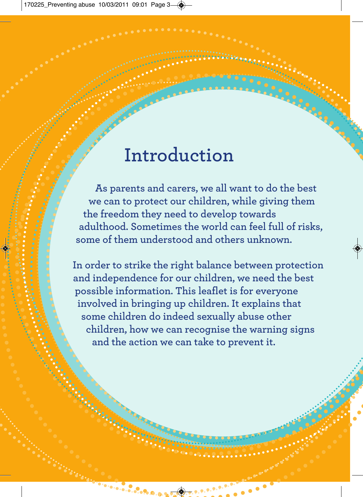# **Introduction**

**As parents and carers, we all want to do the best we can to protect our children, while giving them the freedom they need to develop towards adulthood. Sometimes the world can feel full of risks, some of them understood and others unknown.**

**In order to strike the right balance between protection and independence for our children, we need the best possible information. This leaflet is for everyone involved in bringing up children. It explains that some children do indeed sexually abuse other children, how we can recognise the warning signs and the action we can take to prevent it.**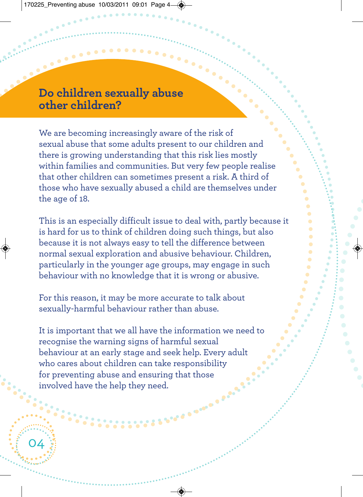# **Do children sexually abuse other children?**

 $\ddot{\phantom{a}}$ 

We are becoming increasingly aware of the risk of sexual abuse that some adults present to our children and there is growing understanding that this risk lies mostly within families and communities. But very few people realise that other children can sometimes present a risk. A third of those who have sexually abused a child are themselves under the age of 18.

 $\ddot{ }$ 

This is an especially difficult issue to deal with, partly because it is hard for us to think of children doing such things, but also because it is not always easy to tell the difference between normal sexual exploration and abusive behaviour. Children, particularly in the younger age groups, may engage in such behaviour with no knowledge that it is wrong or abusive.

For this reason, it may be more accurate to talk about sexually-harmful behaviour rather than abuse.

It is important that we all have the information we need to recognise the warning signs of harmful sexual behaviour at an early stage and seek help. Every adult who cares about children can take responsibility for preventing abuse and ensuring that those involved have the help they need.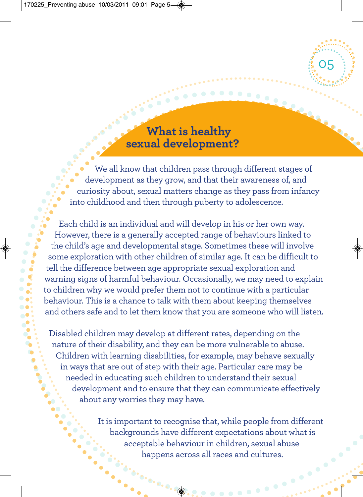# **What is healthy sexual development?**

ò.

We all know that children pass through different stages of development as they grow, and that their awareness of, and curiosity about, sexual matters change as they pass from infancy into childhood and then through puberty to adolescence.

05

Each child is an individual and will develop in his or her own way. However, there is a generally accepted range of behaviours linked to the child's age and developmental stage. Sometimes these will involve some exploration with other children of similar age. It can be difficult to tell the difference between age appropriate sexual exploration and warning signs of harmful behaviour. Occasionally, we may need to explain to children why we would prefer them not to continue with a particular behaviour. This is a chance to talk with them about keeping themselves and others safe and to let them know that you are someone who will listen.

Disabled children may develop at different rates, depending on the nature of their disability, and they can be more vulnerable to abuse. Children with learning disabilities, for example, may behave sexually in ways that are out of step with their age. Particular care may be needed in educating such children to understand their sexual development and to ensure that they can communicate effectively about any worries they may have.

> It is important to recognise that, while people from different backgrounds have different expectations about what is acceptable behaviour in children, sexual abuse happens across all races and cultures.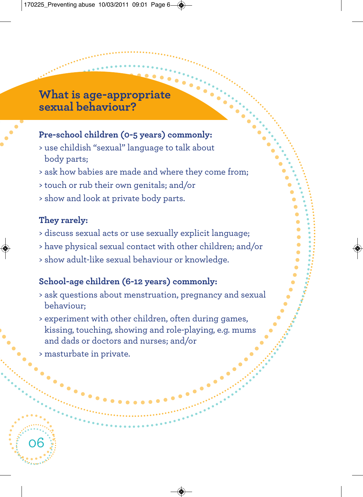## **What is age-appropriate sexual behaviour?**

#### **Pre-school children (0-5 years) commonly:**

- > use childish "sexual" language to talk about body parts;
- > ask how babies are made and where they come from;
- > touch or rub their own genitals; and/or
- > show and look at private body parts.

#### **They rarely:**

- > discuss sexual acts or use sexually explicit language;
- > have physical sexual contact with other children; and/or
- > show adult-like sexual behaviour or knowledge.

#### **School-age children (6-12 years) commonly:**

- > ask questions about menstruation, pregnancy and sexual behaviour;
- > experiment with other children, often during games, kissing, touching, showing and role-playing, e.g. mums and dads or doctors and nurses; and/or
- > masturbate in private.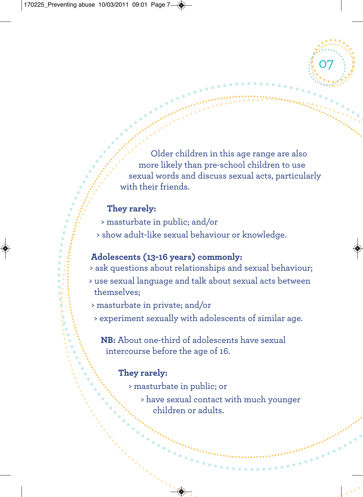Older children in this age range are also more likely than pre-school children to use sexual words and discuss sexual acts, particularly with their friends.

07

#### **They rarely:**

- > masturbate in public; and/or
- > show adult-like sexual behaviour or knowledge.

#### **Adolescents (13-16 years) commonly:**

- > ask questions about relationships and sexual behaviour;
- > use sexual language and talk about sexual acts between themselves;
- > masturbate in private; and/or
- > experiment sexually with adolescents of similar age.

**NB:** About one-third of adolescents have sexual intercourse before the age of 16.

#### **They rarely:**

> masturbate in public; or

> have sexual contact with much younger children or adults.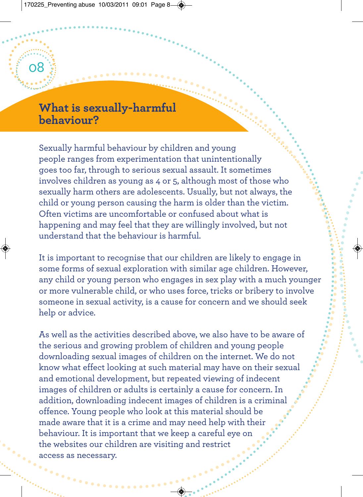# **What is sexually-harmful behaviour?**

08

Sexually harmful behaviour by children and young people ranges from experimentation that unintentionally goes too far, through to serious sexual assault. It sometimes involves children as young as 4 or 5, although most of those who sexually harm others are adolescents. Usually, but not always, the child or young person causing the harm is older than the victim. Often victims are uncomfortable or confused about what is happening and may feel that they are willingly involved, but not understand that the behaviour is harmful.

It is important to recognise that our children are likely to engage in some forms of sexual exploration with similar age children. However, any child or young person who engages in sex play with a much younger or more vulnerable child, or who uses force, tricks or bribery to involve someone in sexual activity, is a cause for concern and we should seek help or advice.

As well as the activities described above, we also have to be aware of the serious and growing problem of children and young people downloading sexual images of children on the internet. We do not know what effect looking at such material may have on their sexual and emotional development, but repeated viewing of indecent images of children or adults is certainly a cause for concern. In addition, downloading indecent images of children is a criminal offence. Young people who look at this material should be made aware that it is a crime and may need help with their behaviour. It is important that we keep a careful eye on the websites our children are visiting and restrict access as necessary.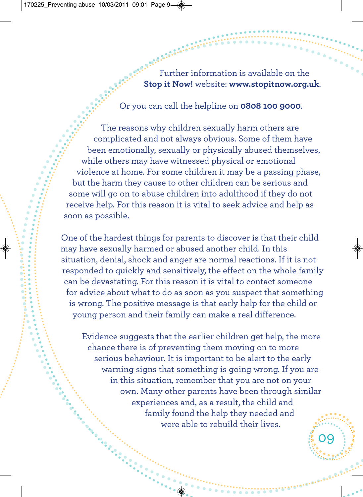**Further information is available on the Stop it Now!** website **Stop it Now!** website: **www.stopitnow.org.uk**.

Or you can call the helpline on **0808 100 9000**.

The reasons why children sexually harm others are complicated and not always obvious. Some of them have been emotionally, sexually or physically abused themselves, while others may have witnessed physical or emotional violence at home. For some children it may be a passing phase, but the harm they cause to other children can be serious and some will go on to abuse children into adulthood if they do not receive help. For this reason it is vital to seek advice and help as soon as possible.

One of the hardest things for parents to discover is that their child may have sexually harmed or abused another child. In this situation, denial, shock and anger are normal reactions. If it is not responded to quickly and sensitively, the effect on the whole family can be devastating. For this reason it is vital to contact someone for advice about what to do as soon as you suspect that something is wrong. The positive message is that early help for the child or young person and their family can make a real difference.

Evidence suggests that the earlier children get help, the more chance there is of preventing them moving on to more serious behaviour. It is important to be alert to the early warning signs that something is going wrong. If you are in this situation, remember that you are not on your own. Many other parents have been through similar experiences and, as a result, the child and family found the help they needed and were able to rebuild their lives.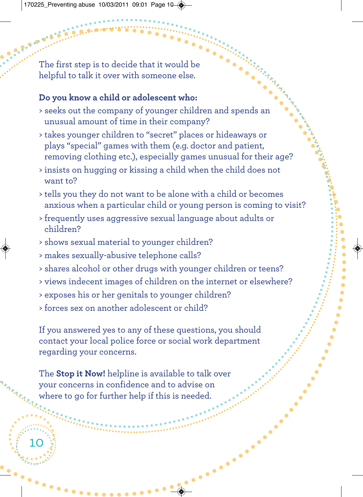The first step is to decide that it would be helpful to talk it over with someone else.

### **Do you know a child or adolescent who:**

- > seeks out the company of younger children and spends an unusual amount of time in their company?
- > takes younger children to "secret" places or hideaways or plays "special" games with them (e.g. doctor and patient, removing clothing etc.), especially games unusual for their age?

**Branch** 

 $\bullet$ 

- > insists on hugging or kissing a child when the child does not want to?
- > tells you they do not want to be alone with a child or becomes anxious when a particular child or young person is coming to visit?
- > frequently uses aggressive sexual language about adults or children?
- > shows sexual material to younger children?
- > makes sexually-abusive telephone calls?
- > shares alcohol or other drugs with younger children or teens?
- > views indecent images of children on the internet or elsewhere?
- > exposes his or her genitals to younger children?
- > forces sex on another adolescent or child?

If you answered yes to any of these questions, you should contact your local police force or social work department regarding your concerns.

The **Stop it Now!** helpline is available to talk over your concerns in confidence and to advise on where to go for further help if this is needed.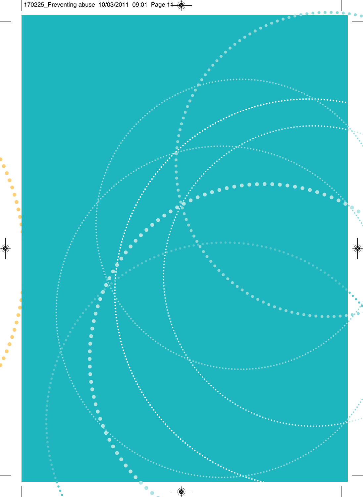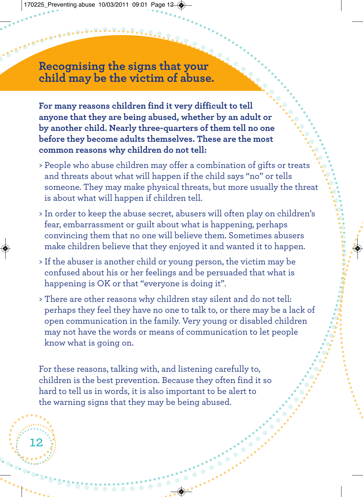# **Recognising the signs that your child may be the victim of abuse.**

**For many reasons children find it very difficult to tell anyone that they are being abused, whether by an adult or by another child. Nearly three-quarters of them tell no one before they become adults themselves. These are the most common reasons why children do not tell:**

- > People who abuse children may offer a combination of gifts or treats and threats about what will happen if the child says "no" or tells someone. They may make physical threats, but more usually the threat is about what will happen if children tell.
- > In order to keep the abuse secret, abusers will often play on children's fear, embarrassment or guilt about what is happening, perhaps convincing them that no one will believe them. Sometimes abusers make children believe that they enjoyed it and wanted it to happen.
- > If the abuser is another child or young person, the victim may be confused about his or her feelings and be persuaded that what is happening is OK or that "everyone is doing it".
- > There are other reasons why children stay silent and do not tell: perhaps they feel they have no one to talk to, or there may be a lack of open communication in the family. Very young or disabled children may not have the words or means of communication to let people know what is going on.

For these reasons, talking with, and listening carefully to, children is the best prevention. Because they often find it so hard to tell us in words, it is also important to be alert to the warning signs that they may be being abused.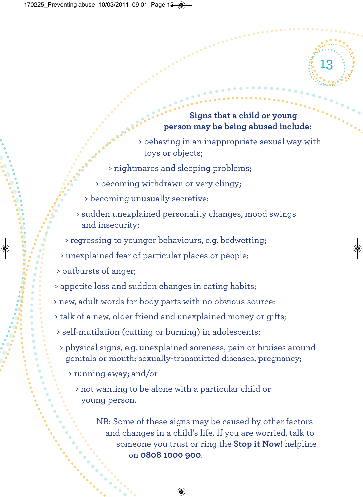#### **Signs that a child or young person may be being abused include:**

13

- > behaving in an inappropriate sexual way with toys or objects;
- > nightmares and sleeping problems;
- > becoming withdrawn or very clingy;
- > becoming unusually secretive;
- > sudden unexplained personality changes, mood swings and insecurity;
- > regressing to younger behaviours, e.g. bedwetting;
- > unexplained fear of particular places or people;
- > outbursts of anger;
- > appetite loss and sudden changes in eating habits;
- > new, adult words for body parts with no obvious source;
- > talk of a new, older friend and unexplained money or gifts;
- > self-mutilation (cutting or burning) in adolescents;
- > physical signs, e.g. unexplained soreness, pain or bruises around genitals or mouth; sexually-transmitted diseases, pregnancy;
	- > running away; and/or
		- > not wanting to be alone with a particular child or young person.

NB: Some of these signs may be caused by other factors and changes in a child's life. If you are worried, talk to someone you trust or ring the **Stop it Now!** helpline on **0808 1000 900**.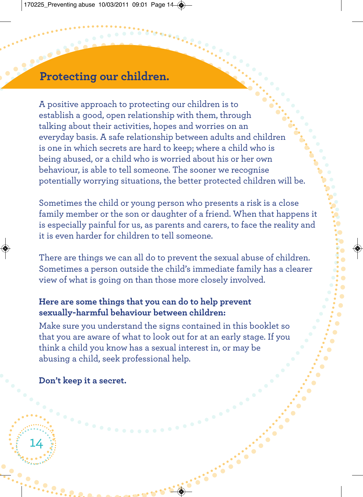# **Protecting our children.**

A positive approach to protecting our children is to establish a good, open relationship with them, through talking about their activities, hopes and worries on an everyday basis. A safe relationship between adults and children is one in which secrets are hard to keep; where a child who is being abused, or a child who is worried about his or her own behaviour, is able to tell someone. The sooner we recognise potentially worrying situations, the better protected children will be.

Sometimes the child or young person who presents a risk is a close family member or the son or daughter of a friend. When that happens it is especially painful for us, as parents and carers, to face the reality and it is even harder for children to tell someone.

There are things we can all do to prevent the sexual abuse of children. Sometimes a person outside the child's immediate family has a clearer view of what is going on than those more closely involved.

#### **Here are some things that you can do to help prevent sexually-harmful behaviour between children:**

Make sure you understand the signs contained in this booklet so that you are aware of what to look out for at an early stage. If you think a child you know has a sexual interest in, or may be abusing a child, seek professional help.

**Don't keep it a secret.**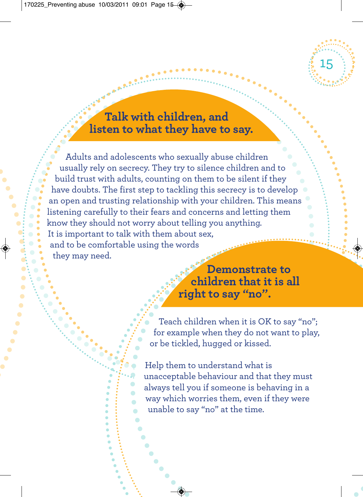# **Talk with children, and listen to what they have to say.**

Adults and adolescents who sexually abuse children usually rely on secrecy. They try to silence children and to build trust with adults, counting on them to be silent if they have doubts. The first step to tackling this secrecy is to develop an open and trusting relationship with your children. This means listening carefully to their fears and concerns and letting them know they should not worry about telling you anything. It is important to talk with them about sex, and to be comfortable using the words they may need.

> **Demonstrate to children that it is all right to say "no''.**

15

Teach children when it is OK to say "no"; for example when they do not want to play, or be tickled, hugged or kissed.

Help them to understand what is unacceptable behaviour and that they must always tell you if someone is behaving in a way which worries them, even if they were unable to say "no" at the time.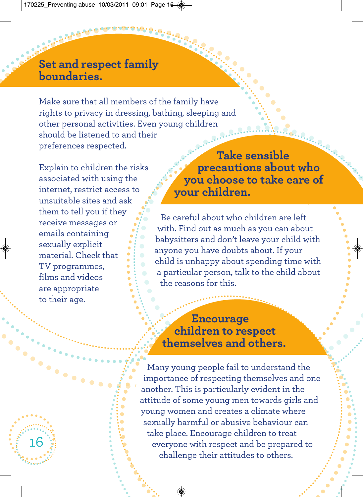# **Set and respect family boundaries.**

Make sure that all members of the family have rights to privacy in dressing, bathing, sleeping and other personal activities. Even young children should be listened to and their preferences respected.

Explain to children the risks associated with using the internet, restrict access to unsuitable sites and ask them to tell you if they receive messages or emails containing sexually explicit material. Check that TV programmes, films and videos are appropriate to their age.

16

**Take sensible precautions about who you choose to take care of your children.** 

Be careful about who children are left with. Find out as much as you can about babysitters and don't leave your child with anyone you have doubts about. If your child is unhappy about spending time with a particular person, talk to the child about the reasons for this.

**Encourage children to respect themselves and others.**

Many young people fail to understand the importance of respecting themselves and one another. This is particularly evident in the attitude of some young men towards girls and young women and creates a climate where sexually harmful or abusive behaviour can take place. Encourage children to treat everyone with respect and be prepared to challenge their attitudes to others.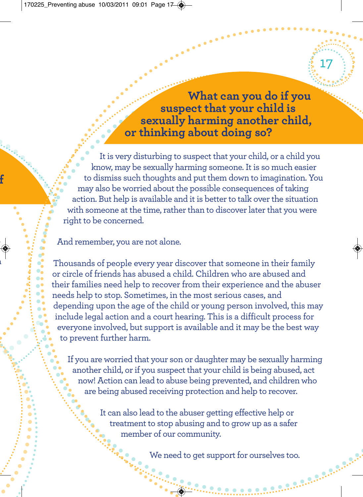**What can you do if you suspect that your child is sexually harming another child, or thinking about doing so?**

It is very disturbing to suspect that your child, or a child you know, may be sexually harming someone. It is so much easier to dismiss such thoughts and put them down to imagination. You may also be worried about the possible consequences of taking action. But help is available and it is better to talk over the situation with someone at the time, rather than to discover later that you were right to be concerned.

**British Company** 

And remember, you are not alone.

Thousands of people every year discover that someone in their family or circle of friends has abused a child. Children who are abused and their families need help to recover from their experience and the abuser needs help to stop. Sometimes, in the most serious cases, and depending upon the age of the child or young person involved, this may include legal action and a court hearing. This is a difficult process for everyone involved, but support is available and it may be the best way to prevent further harm.

If you are worried that your son or daughter may be sexually harming another child, or if you suspect that your child is being abused, act now! Action can lead to abuse being prevented, and children who are being abused receiving protection and help to recover.

> It can also lead to the abuser getting effective help or treatment to stop abusing and to grow up as a safer member of our community.

> > We need to get support for ourselves too.

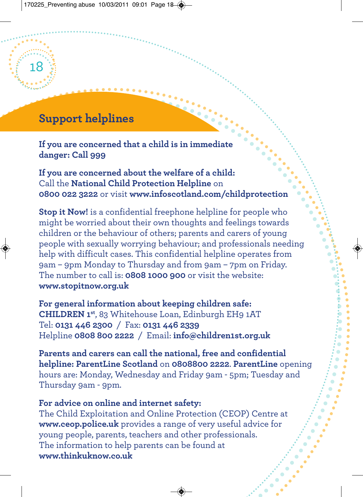# **Support helplines**

18

**If you are concerned that a child is in immediate danger: Call 999**

**If you are concerned about the welfare of a child:** Call the **National Child Protection Helpline** on **0800 022 3222** or visit **www.infoscotland.com/childprotection**

**Stop it Now!** is a confidential freephone helpline for people who might be worried about their own thoughts and feelings towards children or the behaviour of others; parents and carers of young people with sexually worrying behaviour; and professionals needing help with difficult cases. This confidential helpline operates from 9am – 9pm Monday to Thursday and from 9am – 7pm on Friday. The number to call is: **0808 1000 900** or visit the website: **www.stopitnow.org.uk**

**For general information about keeping children safe: CHILDREN 1st**, 83 Whitehouse Loan, Edinburgh EH9 1AT Tel: **0131 446 2300** / Fax: **0131 446 2339** Helpline **0808 800 2222** / Email: **info@children1st.org.uk**

**Parents and carers can call the national, free and confidential helpline: ParentLine Scotland** on **0808800 2222**. **ParentLine** opening hours are: Monday, Wednesday and Friday 9am - 5pm; Tuesday and Thursday 9am - 9pm.

#### **For advice on online and internet safety:**

The Child Exploitation and Online Protection (CEOP) Centre at **www.ceop.police.uk** provides a range of very useful advice for young people, parents, teachers and other professionals. The information to help parents can be found at **www.thinkuknow.co.uk**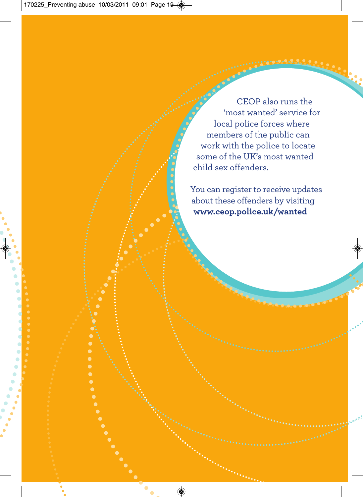CEOP also runs the 'most wanted' service for local police forces where members of the public can work with the police to locate some of the UK's most wanted child sex offenders.

You can register to receive updates about these offenders by visiting **www.ceop.police.uk/wanted**